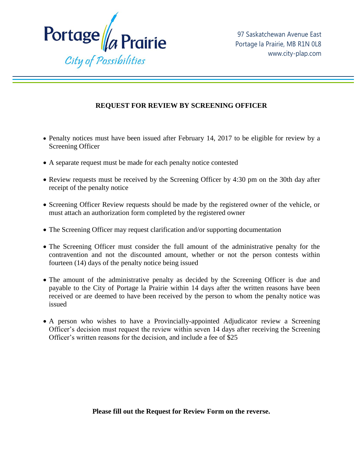

## **REQUEST FOR REVIEW BY SCREENING OFFICER**

- Penalty notices must have been issued after February 14, 2017 to be eligible for review by a Screening Officer
- A separate request must be made for each penalty notice contested
- Review requests must be received by the Screening Officer by 4:30 pm on the 30th day after receipt of the penalty notice
- Screening Officer Review requests should be made by the registered owner of the vehicle, or must attach an authorization form completed by the registered owner
- The Screening Officer may request clarification and/or supporting documentation
- The Screening Officer must consider the full amount of the administrative penalty for the contravention and not the discounted amount, whether or not the person contests within fourteen (14) days of the penalty notice being issued
- The amount of the administrative penalty as decided by the Screening Officer is due and payable to the City of Portage la Prairie within 14 days after the written reasons have been received or are deemed to have been received by the person to whom the penalty notice was issued
- A person who wishes to have a Provincially-appointed Adjudicator review a Screening Officer's decision must request the review within seven 14 days after receiving the Screening Officer's written reasons for the decision, and include a fee of \$25

**Please fill out the Request for Review Form on the reverse.**